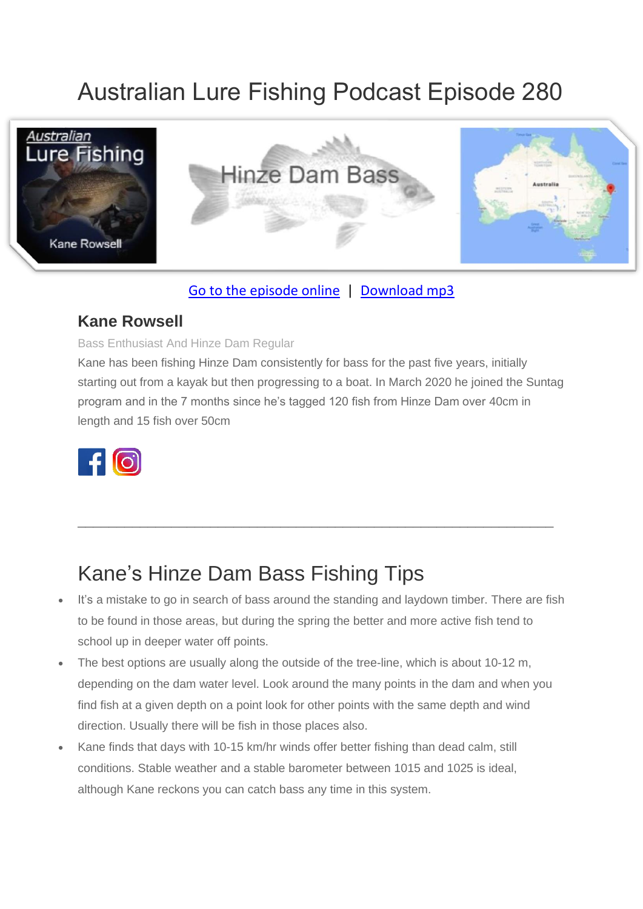# Australian Lure Fishing Podcast Episode 280



### [Go to the episode online](https://doclures.com/hinze-bass-kane-rowsell/) | [Download mp3](https://traffic.libsyn.com/secure/doclures/hinze-bass-kane-rowsell.mp3)

### **Kane Rowsell**

#### Bass Enthusiast And Hinze Dam Regular

Kane has been fishing Hinze Dam consistently for bass for the past five years, initially starting out from a kayak but then progressing to a boat. In March 2020 he joined the Suntag program and in the 7 months since he's tagged 120 fish from Hinze Dam over 40cm in length and 15 fish over 50cm



## Kane's Hinze Dam Bass Fishing Tips

It's a mistake to go in search of bass around the standing and laydown timber. There are fish to be found in those areas, but during the spring the better and more active fish tend to school up in deeper water off points.

\_\_\_\_\_\_\_\_\_\_\_\_\_\_\_\_\_\_\_\_\_\_\_\_\_\_\_\_\_\_\_\_\_\_\_\_\_\_\_\_\_\_\_\_\_\_\_\_\_\_\_\_\_\_\_\_\_\_\_\_\_

- The best options are usually along the outside of the tree-line, which is about 10-12 m, depending on the dam water level. Look around the many points in the dam and when you find fish at a given depth on a point look for other points with the same depth and wind direction. Usually there will be fish in those places also.
- Kane finds that days with 10-15 km/hr winds offer better fishing than dead calm, still conditions. Stable weather and a stable barometer between 1015 and 1025 is ideal, although Kane reckons you can catch bass any time in this system.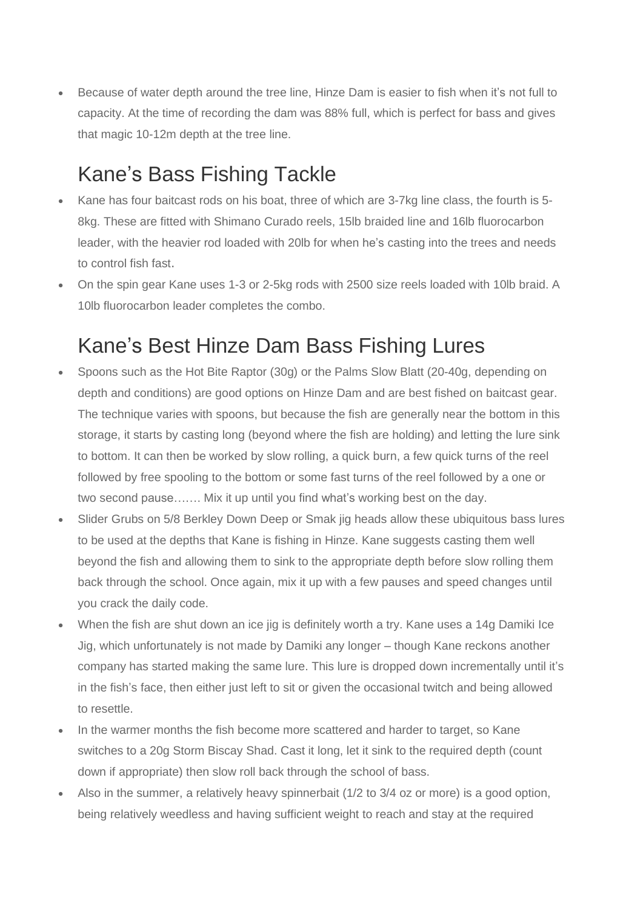• Because of water depth around the tree line, Hinze Dam is easier to fish when it's not full to capacity. At the time of recording the dam was 88% full, which is perfect for bass and gives that magic 10-12m depth at the tree line.

## Kane's Bass Fishing Tackle

- Kane has four baitcast rods on his boat, three of which are 3-7kg line class, the fourth is 5- 8kg. These are fitted with Shimano Curado reels, 15lb braided line and 16lb fluorocarbon leader, with the heavier rod loaded with 20lb for when he's casting into the trees and needs to control fish fast.
- On the spin gear Kane uses 1-3 or 2-5kg rods with 2500 size reels loaded with 10lb braid. A 10lb fluorocarbon leader completes the combo.

## Kane's Best Hinze Dam Bass Fishing Lures

- Spoons such as the Hot Bite Raptor (30g) or the Palms Slow Blatt (20-40g, depending on depth and conditions) are good options on Hinze Dam and are best fished on baitcast gear. The technique varies with spoons, but because the fish are generally near the bottom in this storage, it starts by casting long (beyond where the fish are holding) and letting the lure sink to bottom. It can then be worked by slow rolling, a quick burn, a few quick turns of the reel followed by free spooling to the bottom or some fast turns of the reel followed by a one or two second pause……. Mix it up until you find what's working best on the day.
- Slider Grubs on 5/8 Berkley Down Deep or Smak jig heads allow these ubiquitous bass lures to be used at the depths that Kane is fishing in Hinze. Kane suggests casting them well beyond the fish and allowing them to sink to the appropriate depth before slow rolling them back through the school. Once again, mix it up with a few pauses and speed changes until you crack the daily code.
- When the fish are shut down an ice jig is definitely worth a try. Kane uses a 14g Damiki Ice Jig, which unfortunately is not made by Damiki any longer – though Kane reckons another company has started making the same lure. This lure is dropped down incrementally until it's in the fish's face, then either just left to sit or given the occasional twitch and being allowed to resettle.
- In the warmer months the fish become more scattered and harder to target, so Kane switches to a 20g Storm Biscay Shad. Cast it long, let it sink to the required depth (count down if appropriate) then slow roll back through the school of bass.
- Also in the summer, a relatively heavy spinnerbait (1/2 to 3/4 oz or more) is a good option, being relatively weedless and having sufficient weight to reach and stay at the required